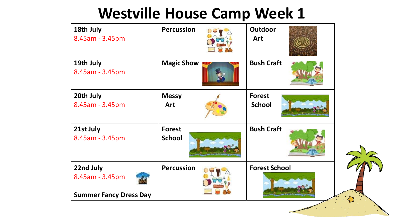| 18th July<br>8.45am - 3.45pm                                  | <b>Percussion</b>              | <b>Outdoor</b><br>Art          |  |
|---------------------------------------------------------------|--------------------------------|--------------------------------|--|
| 19th July<br>8.45am - 3.45pm                                  | <b>Magic Show</b>              | <b>Bush Craft</b>              |  |
| 20th July<br>8.45am - 3.45pm                                  | <b>Messy</b><br><b>Art</b>     | <b>Forest</b><br><b>School</b> |  |
| 21st July<br>8.45am - 3.45pm                                  | <b>Forest</b><br><b>School</b> | <b>Bush Craft</b>              |  |
| 22nd July<br>8.45am - 3.45pm<br><b>Summer Fancy Dress Day</b> | <b>Percussion</b>              | <b>Forest School</b>           |  |
|                                                               |                                |                                |  |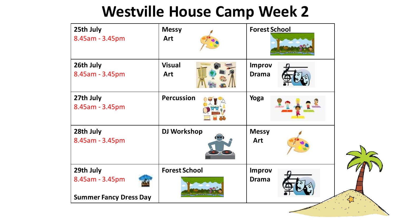| 25th July<br>8.45am - 3.45pm                                  | <b>Messy</b><br><b>Art</b> | <b>Forest School</b>          |  |
|---------------------------------------------------------------|----------------------------|-------------------------------|--|
| 26th July<br>8.45am - 3.45pm                                  | <b>Visual</b><br>Art       | <b>Improv</b><br><b>Drama</b> |  |
| 27th July<br>8.45am - 3.45pm                                  | <b>Percussion</b>          | Yoga                          |  |
| 28th July<br>8.45am - 3.45pm                                  | <b>DJ Workshop</b>         | <b>Messy</b><br><b>Art</b>    |  |
| 29th July<br>8.45am - 3.45pm<br><b>Summer Fancy Dress Day</b> | <b>Forest School</b>       | <b>Improv</b><br><b>Drama</b> |  |
|                                                               |                            |                               |  |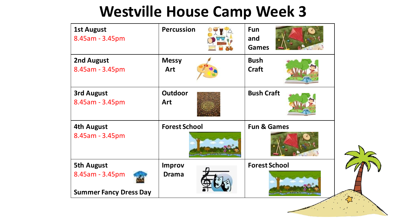| <b>1st August</b><br>8.45am - 3.45pm                                  | <b>Percussion</b>             | <b>Fun</b><br>and<br><b>Games</b> |  |
|-----------------------------------------------------------------------|-------------------------------|-----------------------------------|--|
| 2nd August<br>8.45am - 3.45pm                                         | <b>Messy</b><br>Art           | <b>Bush</b><br><b>Craft</b>       |  |
| <b>3rd August</b><br>8.45am - 3.45pm                                  | <b>Outdoor</b><br>Art         | <b>Bush Craft</b>                 |  |
| <b>4th August</b><br>8.45am - 3.45pm                                  | <b>Forest School</b>          | <b>Fun &amp; Games</b>            |  |
| <b>5th August</b><br>8.45am - 3.45pm<br><b>Summer Fancy Dress Day</b> | <b>Improv</b><br><b>Drama</b> | <b>Forest School</b>              |  |
|                                                                       |                               |                                   |  |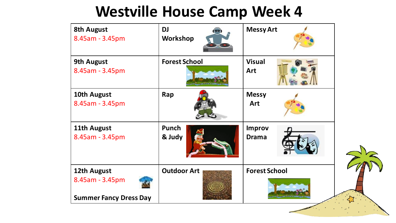| <b>8th August</b><br>8.45am - 3.45pm                            | <b>DJ</b><br>Workshop | <b>Messy Art</b>              |  |
|-----------------------------------------------------------------|-----------------------|-------------------------------|--|
| <b>9th August</b><br>8.45am - 3.45pm                            | <b>Forest School</b>  | <b>Visual</b><br>Art          |  |
| 10th August<br>8.45am - 3.45pm                                  | Rap                   | <b>Messy</b><br>Art           |  |
| 11th August<br>8.45am - 3.45pm                                  | Punch<br>& Judy       | <b>Improv</b><br><b>Drama</b> |  |
| 12th August<br>8.45am - 3.45pm<br><b>Summer Fancy Dress Day</b> | <b>Outdoor Art</b>    | <b>Forest School</b>          |  |
|                                                                 |                       |                               |  |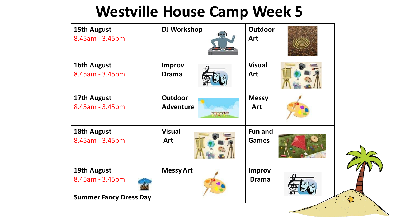| 15th August<br>8.45am - 3.45pm                                  | <b>DJ Workshop</b>                                 | <b>Outdoor</b><br>Art          |  |
|-----------------------------------------------------------------|----------------------------------------------------|--------------------------------|--|
| 16th August<br>8.45am - 3.45pm                                  | <b>Improv</b><br><b>Drama</b>                      | <b>Visual</b><br>Art           |  |
| 17th August<br>8.45am - 3.45pm                                  | <b>Outdoor</b><br><b>Adventure</b><br><b>Ranch</b> | <b>Messy</b><br>Art            |  |
| 18th August<br>8.45am - 3.45pm                                  | <b>Visual</b><br>Art                               | <b>Fun and</b><br><b>Games</b> |  |
| 19th August<br>8.45am - 3.45pm<br><b>Summer Fancy Dress Day</b> | <b>Messy Art</b>                                   | <b>Improv</b><br><b>Drama</b>  |  |
|                                                                 |                                                    |                                |  |